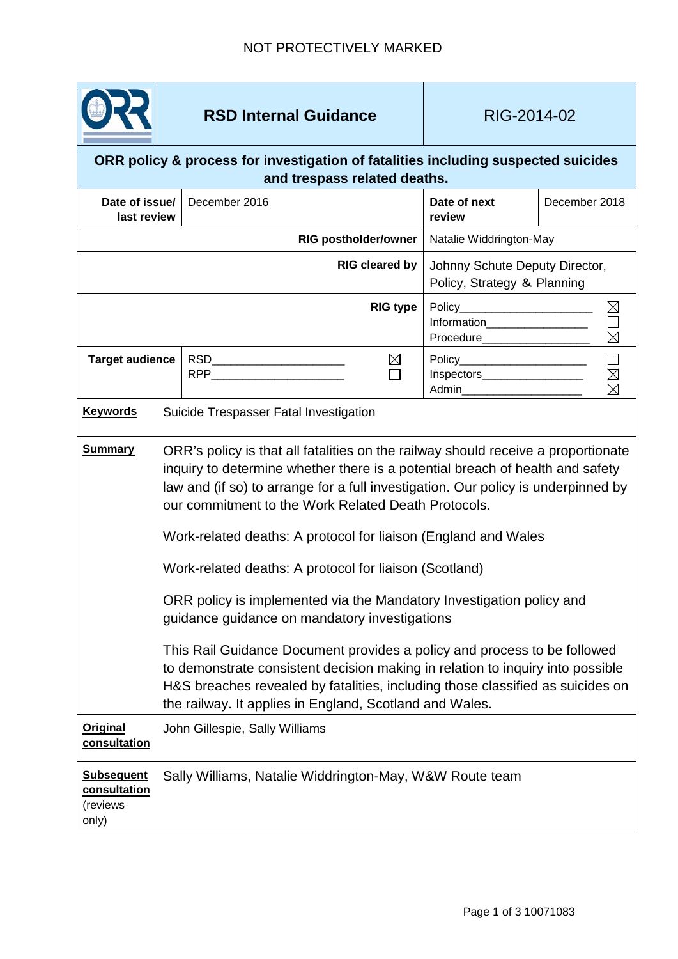

## **RSD Internal Guidance RIG-2014-02**

| ORR policy & process for investigation of fatalities including suspected suicides |
|-----------------------------------------------------------------------------------|
| and trespass related deaths.                                                      |

| Date of issue/<br>last review                          |                                                         | December 2016                                                                                                                                                                                                                                                                                                                                                                                                                                                                                                                                                                                                                                                                                                                                                                                                                                                                  |                       | Date of next<br>review                                           | December 2018                 |  |
|--------------------------------------------------------|---------------------------------------------------------|--------------------------------------------------------------------------------------------------------------------------------------------------------------------------------------------------------------------------------------------------------------------------------------------------------------------------------------------------------------------------------------------------------------------------------------------------------------------------------------------------------------------------------------------------------------------------------------------------------------------------------------------------------------------------------------------------------------------------------------------------------------------------------------------------------------------------------------------------------------------------------|-----------------------|------------------------------------------------------------------|-------------------------------|--|
| <b>RIG postholder/owner</b>                            |                                                         |                                                                                                                                                                                                                                                                                                                                                                                                                                                                                                                                                                                                                                                                                                                                                                                                                                                                                |                       | Natalie Widdrington-May                                          |                               |  |
|                                                        |                                                         |                                                                                                                                                                                                                                                                                                                                                                                                                                                                                                                                                                                                                                                                                                                                                                                                                                                                                | <b>RIG cleared by</b> | Johnny Schute Deputy Director,<br>Policy, Strategy & Planning    |                               |  |
|                                                        |                                                         |                                                                                                                                                                                                                                                                                                                                                                                                                                                                                                                                                                                                                                                                                                                                                                                                                                                                                | <b>RIG type</b>       | Information___________________                                   | $\boxtimes$<br>$\Box$         |  |
| <b>Target audience</b>                                 |                                                         | RPP <b>RPP RPP</b>                                                                                                                                                                                                                                                                                                                                                                                                                                                                                                                                                                                                                                                                                                                                                                                                                                                             | $\boxtimes$           | Policy________________________<br>Inspectors____________________ | $\boxtimes \boxtimes \square$ |  |
| <b>Keywords</b>                                        |                                                         | Suicide Trespasser Fatal Investigation                                                                                                                                                                                                                                                                                                                                                                                                                                                                                                                                                                                                                                                                                                                                                                                                                                         |                       |                                                                  |                               |  |
| <b>Summary</b>                                         |                                                         | ORR's policy is that all fatalities on the railway should receive a proportionate<br>inquiry to determine whether there is a potential breach of health and safety<br>law and (if so) to arrange for a full investigation. Our policy is underpinned by<br>our commitment to the Work Related Death Protocols.<br>Work-related deaths: A protocol for liaison (England and Wales<br>Work-related deaths: A protocol for liaison (Scotland)<br>ORR policy is implemented via the Mandatory Investigation policy and<br>guidance guidance on mandatory investigations<br>This Rail Guidance Document provides a policy and process to be followed<br>to demonstrate consistent decision making in relation to inquiry into possible<br>H&S breaches revealed by fatalities, including those classified as suicides on<br>the railway. It applies in England, Scotland and Wales. |                       |                                                                  |                               |  |
| <b>Original</b><br>consultation                        |                                                         | John Gillespie, Sally Williams                                                                                                                                                                                                                                                                                                                                                                                                                                                                                                                                                                                                                                                                                                                                                                                                                                                 |                       |                                                                  |                               |  |
| <b>Subsequent</b><br>consultation<br>(reviews<br>only) | Sally Williams, Natalie Widdrington-May, W&W Route team |                                                                                                                                                                                                                                                                                                                                                                                                                                                                                                                                                                                                                                                                                                                                                                                                                                                                                |                       |                                                                  |                               |  |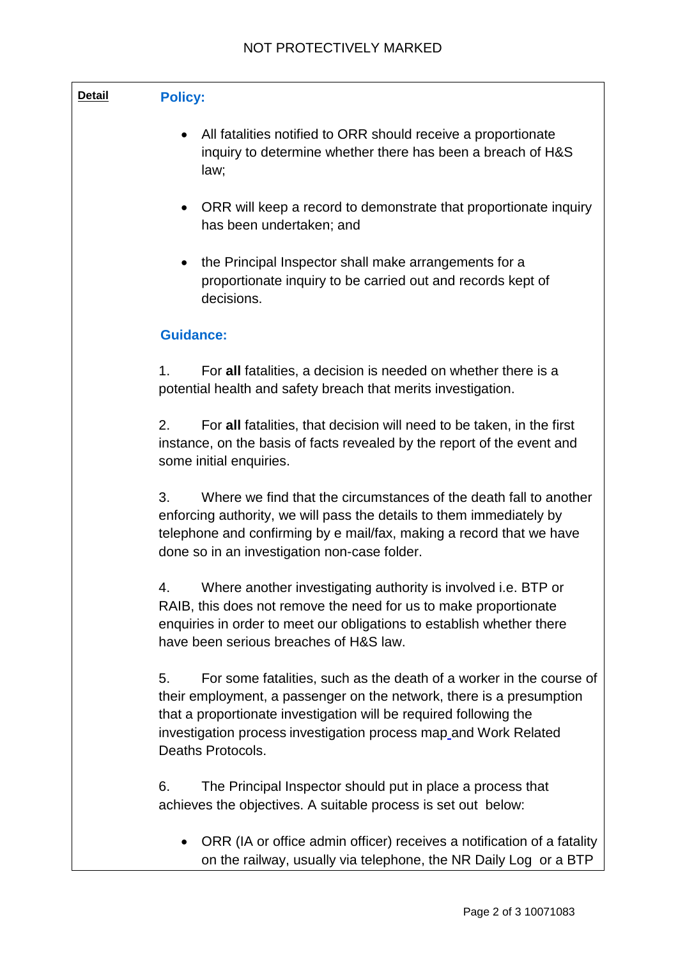| <b>Detail</b> | <b>Policy:</b>                                                                                                                                                                                                                                                                                                  |  |  |  |  |
|---------------|-----------------------------------------------------------------------------------------------------------------------------------------------------------------------------------------------------------------------------------------------------------------------------------------------------------------|--|--|--|--|
|               | All fatalities notified to ORR should receive a proportionate<br>$\bullet$<br>inquiry to determine whether there has been a breach of H&S<br>law;                                                                                                                                                               |  |  |  |  |
|               | ORR will keep a record to demonstrate that proportionate inquiry<br>$\bullet$<br>has been undertaken; and                                                                                                                                                                                                       |  |  |  |  |
|               | the Principal Inspector shall make arrangements for a<br>$\bullet$<br>proportionate inquiry to be carried out and records kept of<br>decisions.                                                                                                                                                                 |  |  |  |  |
|               | <b>Guidance:</b>                                                                                                                                                                                                                                                                                                |  |  |  |  |
|               | 1.<br>For all fatalities, a decision is needed on whether there is a<br>potential health and safety breach that merits investigation.                                                                                                                                                                           |  |  |  |  |
|               | 2.<br>For all fatalities, that decision will need to be taken, in the first<br>instance, on the basis of facts revealed by the report of the event and<br>some initial enquiries.                                                                                                                               |  |  |  |  |
|               | 3.<br>Where we find that the circumstances of the death fall to another<br>enforcing authority, we will pass the details to them immediately by<br>telephone and confirming by e mail/fax, making a record that we have<br>done so in an investigation non-case folder.                                         |  |  |  |  |
|               | Where another investigating authority is involved i.e. BTP or<br>4.<br>RAIB, this does not remove the need for us to make proportionate<br>enquiries in order to meet our obligations to establish whether there<br>have been serious breaches of H&S law.                                                      |  |  |  |  |
|               | 5.<br>For some fatalities, such as the death of a worker in the course of<br>their employment, a passenger on the network, there is a presumption<br>that a proportionate investigation will be required following the<br>investigation process investigation process map and Work Related<br>Deaths Protocols. |  |  |  |  |
|               | 6.<br>The Principal Inspector should put in place a process that<br>achieves the objectives. A suitable process is set out below:                                                                                                                                                                               |  |  |  |  |
|               | ORR (IA or office admin officer) receives a notification of a fatality                                                                                                                                                                                                                                          |  |  |  |  |

• ORR (IA or office admin officer) receives a notification of a fatality on the railway, usually via telephone, the NR Daily Log or a BTP